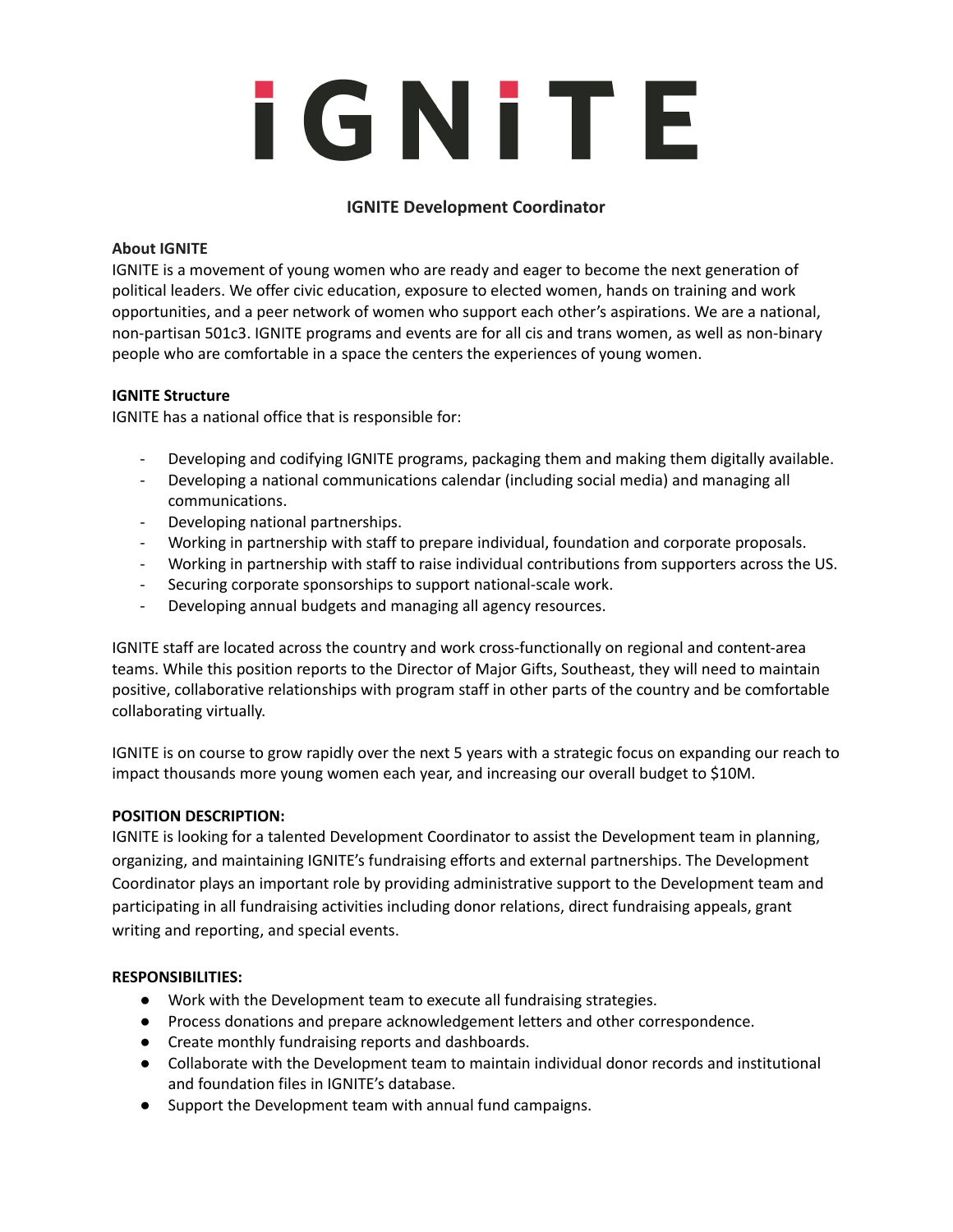# i GNITE

### **IGNITE Development Coordinator**

### **About IGNITE**

IGNITE is a movement of young women who are ready and eager to become the next generation of political leaders. We offer civic education, exposure to elected women, hands on training and work opportunities, and a peer network of women who support each other's aspirations. We are a national, non-partisan 501c3. IGNITE programs and events are for all cis and trans women, as well as non-binary people who are comfortable in a space the centers the experiences of young women.

### **IGNITE Structure**

IGNITE has a national office that is responsible for:

- Developing and codifying IGNITE programs, packaging them and making them digitally available.
- Developing a national communications calendar (including social media) and managing all communications.
- Developing national partnerships.
- Working in partnership with staff to prepare individual, foundation and corporate proposals.
- Working in partnership with staff to raise individual contributions from supporters across the US.
- Securing corporate sponsorships to support national-scale work.
- Developing annual budgets and managing all agency resources.

IGNITE staff are located across the country and work cross-functionally on regional and content-area teams. While this position reports to the Director of Major Gifts, Southeast, they will need to maintain positive, collaborative relationships with program staff in other parts of the country and be comfortable collaborating virtually.

IGNITE is on course to grow rapidly over the next 5 years with a strategic focus on expanding our reach to impact thousands more young women each year, and increasing our overall budget to \$10M.

### **POSITION DESCRIPTION:**

IGNITE is looking for a talented Development Coordinator to assist the Development team in planning, organizing, and maintaining IGNITE's fundraising efforts and external partnerships. The Development Coordinator plays an important role by providing administrative support to the Development team and participating in all fundraising activities including donor relations, direct fundraising appeals, grant writing and reporting, and special events.

### **RESPONSIBILITIES:**

- Work with the Development team to execute all fundraising strategies.
- Process donations and prepare acknowledgement letters and other correspondence.
- Create monthly fundraising reports and dashboards.
- Collaborate with the Development team to maintain individual donor records and institutional and foundation files in IGNITE's database.
- Support the Development team with annual fund campaigns.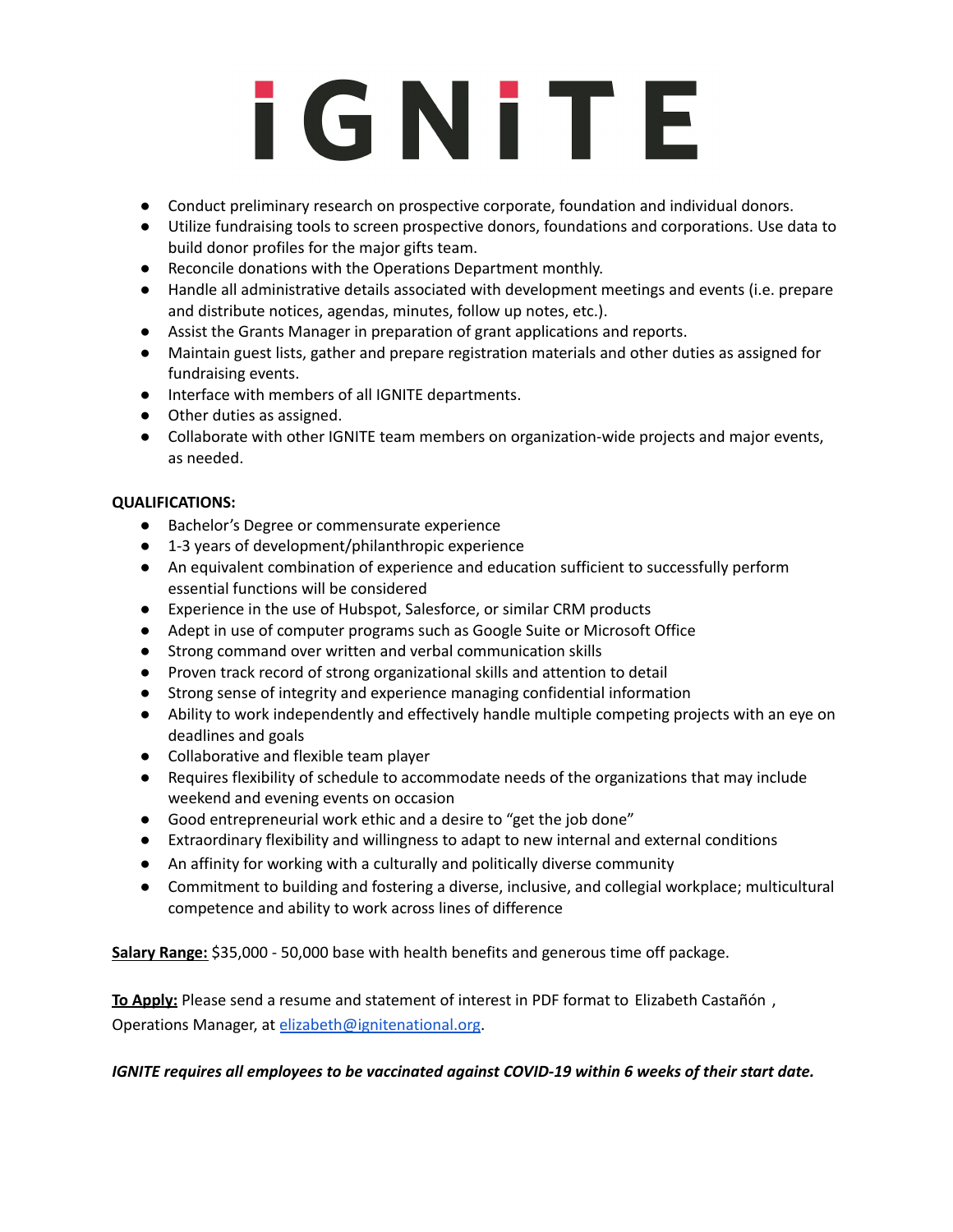## **iGNITE**

- Conduct preliminary research on prospective corporate, foundation and individual donors.
- Utilize fundraising tools to screen prospective donors, foundations and corporations. Use data to build donor profiles for the major gifts team.
- Reconcile donations with the Operations Department monthly.
- Handle all administrative details associated with development meetings and events (i.e. prepare and distribute notices, agendas, minutes, follow up notes, etc.).
- Assist the Grants Manager in preparation of grant applications and reports.
- Maintain guest lists, gather and prepare registration materials and other duties as assigned for fundraising events.
- Interface with members of all IGNITE departments.
- Other duties as assigned.
- Collaborate with other IGNITE team members on organization-wide projects and major events, as needed.

### **QUALIFICATIONS:**

- Bachelor's Degree or commensurate experience
- 1-3 years of development/philanthropic experience
- An equivalent combination of experience and education sufficient to successfully perform essential functions will be considered
- Experience in the use of Hubspot, Salesforce, or similar CRM products
- Adept in use of computer programs such as Google Suite or Microsoft Office
- Strong command over written and verbal communication skills
- Proven track record of strong organizational skills and attention to detail
- Strong sense of integrity and experience managing confidential information
- Ability to work independently and effectively handle multiple competing projects with an eye on deadlines and goals
- Collaborative and flexible team player
- Requires flexibility of schedule to accommodate needs of the organizations that may include weekend and evening events on occasion
- Good entrepreneurial work ethic and a desire to "get the job done"
- Extraordinary flexibility and willingness to adapt to new internal and external conditions
- An affinity for working with a culturally and politically diverse community
- Commitment to building and fostering a diverse, inclusive, and collegial workplace; multicultural competence and ability to work across lines of difference

**Salary Range:** \$35,000 - 50,000 base with health benefits and generous time off package.

**To Apply:** Please send a resume and statement of interest in PDF format to Elizabeth [Castañón](mailto:elizabeth@ignitenational.org) , Operations Manager, at [elizabeth@ignitenational.org.](mailto:elizabeth@ignitenational.org)

### *IGNITE requires all employees to be vaccinated against COVID-19 within 6 weeks of their start date.*